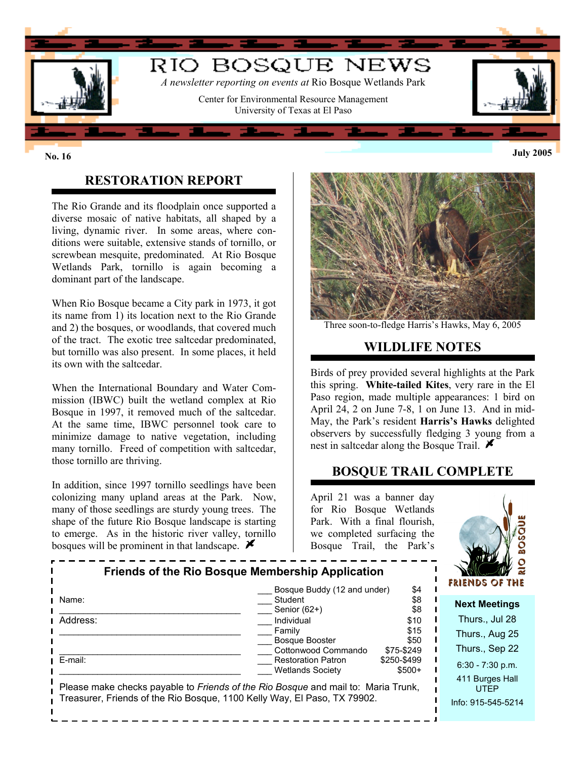

# **RESTORATION REPORT**

The Rio Grande and its floodplain once supported a diverse mosaic of native habitats, all shaped by a living, dynamic river. In some areas, where conditions were suitable, extensive stands of tornillo, or screwbean mesquite, predominated. At Rio Bosque Wetlands Park, tornillo is again becoming a dominant part of the landscape.

When Rio Bosque became a City park in 1973, it got its name from 1) its location next to the Rio Grande and 2) the bosques, or woodlands, that covered much of the tract. The exotic tree saltcedar predominated, but tornillo was also present. In some places, it held its own with the saltcedar.

When the International Boundary and Water Commission (IBWC) built the wetland complex at Rio Bosque in 1997, it removed much of the saltcedar. At the same time, IBWC personnel took care to minimize damage to native vegetation, including many tornillo. Freed of competition with saltcedar, those tornillo are thriving.

In addition, since 1997 tornillo seedlings have been colonizing many upland areas at the Park. Now, many of those seedlings are sturdy young trees. The shape of the future Rio Bosque landscape is starting to emerge. As in the historic river valley, tornillo bosques will be prominent in that landscape.  $\blacktriangleright$ 



Three soon-to-fledge Harris's Hawks, May 6, 2005

### **WILDLIFE NOTES**

Birds of prey provided several highlights at the Park this spring. **White-tailed Kites**, very rare in the El Paso region, made multiple appearances: 1 bird on April 24, 2 on June 7-8, 1 on June 13. And in mid-May, the Park's resident **Harris's Hawks** delighted observers by successfully fledging 3 young from a nest in salteedar along the Bosque Trail.  $\blacktriangleright$ 

#### **BOSQUE TRAIL COMPLETE**

April 21 was a banner day for Rio Bosque Wetlands Park. With a final flourish, we completed surfacing the Bosque Trail, the Park's



| Friends of the Rio Bosque Membership Application                                                                                                              |                                                                             |                                      | $\overline{\mathbf{z}}$<br><b>FRIENDS OF THE</b>        |
|---------------------------------------------------------------------------------------------------------------------------------------------------------------|-----------------------------------------------------------------------------|--------------------------------------|---------------------------------------------------------|
| Name:                                                                                                                                                         | Bosque Buddy (12 and under)<br>Student<br>Senior $(62+)$                    | \$4<br>\$8<br>\$8                    | <b>Next Meetings</b>                                    |
| Address:                                                                                                                                                      | Individual<br>Family<br><b>Bosque Booster</b>                               | \$10<br>\$15<br>\$50                 | Thurs., Jul 28<br>Thurs., Aug 25                        |
| E-mail:                                                                                                                                                       | Cottonwood Commando<br><b>Restoration Patron</b><br><b>Wetlands Society</b> | \$75-\$249<br>\$250-\$499<br>$$500+$ | Thurs., Sep 22<br>$6:30 - 7:30$ p.m.<br>411 Burges Hall |
| Please make checks payable to Friends of the Rio Bosque and mail to: Maria Trunk,<br>Treasurer, Friends of the Rio Bosque, 1100 Kelly Way, El Paso, TX 79902. |                                                                             |                                      | <b>UTFP</b><br>Info: 915-545-5214                       |